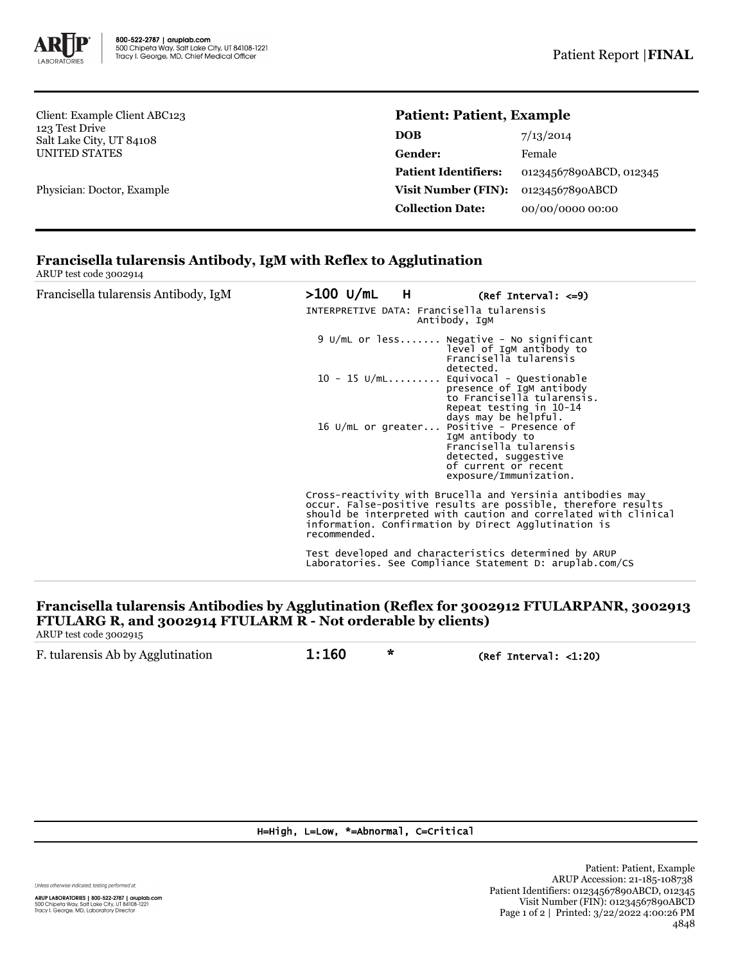

Client: Example Client ABC123 123 Test Drive Salt Lake City, UT 84108 UNITED STATES

Physician: Doctor, Example

## **Patient: Patient, Example**

| 7/13/2014               |
|-------------------------|
| Female                  |
| 01234567890ABCD, 012345 |
| 01234567890ABCD         |
| 00/00/0000 00:00        |
|                         |

# **Francisella tularensis Antibody, IgM with Reflex to Agglutination**

ARUP test code 3002914

| Francisella tularensis Antibody, IgM | >100 U/mL H<br>INTERPRETIVE DATA: Francisella tularensis |                                                                                                                                                                                                                                                                                                                                                                                                                                         |  |
|--------------------------------------|----------------------------------------------------------|-----------------------------------------------------------------------------------------------------------------------------------------------------------------------------------------------------------------------------------------------------------------------------------------------------------------------------------------------------------------------------------------------------------------------------------------|--|
|                                      |                                                          | 9 U/mL or less Negative - No significant<br>level of IgM antibody to<br>Francisella tularensis<br>detected.<br>$10 - 15$ U/mL Equivocal - Questionable<br>presence of IgM antibody<br>to Francisella tularensis.<br>Repeat testing in 10-14<br>days may be helpful.<br>16 U/mL or greater Positive - Presence of<br>IgM antibody to<br>Francisella tularensis<br>detected, suggestive<br>of current or recent<br>exposure/Immunization. |  |
|                                      | recommended.                                             | Cross-reactivity with Brucella and Yersinia antibodies may<br>occur. False-positive results are possible, therefore results<br>should be interpreted with caution and correlated with clinical<br>information. Confirmation by Direct Agglutination is<br>Test developed and characteristics determined by ARUP<br>Laboratories. See Compliance Statement D: aruplab.com/CS                                                             |  |

# **Francisella tularensis Antibodies by Agglutination (Reflex for 3002912 FTULARPANR, 3002913 FTULARG R, and 3002914 FTULARM R - Not orderable by clients)**

ARUP test code 3002915

| F. tularensis Ab by Agglutination | 1:160 | (Ref Interval: $<$ 1:20) |
|-----------------------------------|-------|--------------------------|
|-----------------------------------|-------|--------------------------|

### H=High, L=Low, \*=Abnormal, C=Critical

Unless otherwise indicated, testing performed at: